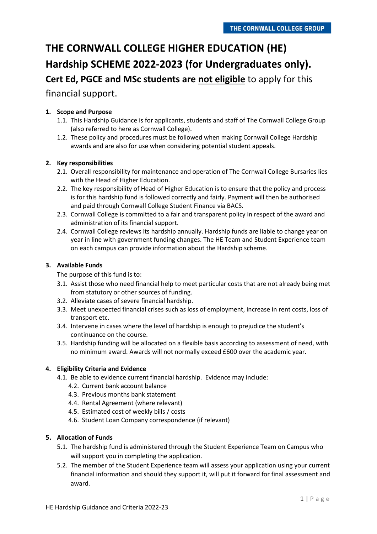# **THE CORNWALL COLLEGE HIGHER EDUCATION (HE) Hardship SCHEME 2022-2023 (for Undergraduates only). Cert Ed, PGCE and MSc students are not eligible** to apply for this financial support.

# **1. Scope and Purpose**

- 1.1. This Hardship Guidance is for applicants, students and staff of The Cornwall College Group (also referred to here as Cornwall College).
- 1.2. These policy and procedures must be followed when making Cornwall College Hardship awards and are also for use when considering potential student appeals.

# **2. Key responsibilities**

- 2.1. Overall responsibility for maintenance and operation of The Cornwall College Bursaries lies with the Head of Higher Education.
- 2.2. The key responsibility of Head of Higher Education is to ensure that the policy and process is for this hardship fund is followed correctly and fairly. Payment will then be authorised and paid through Cornwall College Student Finance via BACS.
- 2.3. Cornwall College is committed to a fair and transparent policy in respect of the award and administration of its financial support.
- 2.4. Cornwall College reviews its hardship annually. Hardship funds are liable to change year on year in line with government funding changes. The HE Team and Student Experience team on each campus can provide information about the Hardship scheme.

# **3. Available Funds**

The purpose of this fund is to:

- 3.1. Assist those who need financial help to meet particular costs that are not already being met from statutory or other sources of funding.
- 3.2. Alleviate cases of severe financial hardship.
- 3.3. Meet unexpected financial crises such as loss of employment, increase in rent costs, loss of transport etc.
- 3.4. Intervene in cases where the level of hardship is enough to prejudice the student's continuance on the course.
- 3.5. Hardship funding will be allocated on a flexible basis according to assessment of need, with no minimum award. Awards will not normally exceed £600 over the academic year.

#### **4. Eligibility Criteria and Evidence**

- 4.1. Be able to evidence current financial hardship. Evidence may include:
	- 4.2. Current bank account balance
	- 4.3. Previous months bank statement
	- 4.4. Rental Agreement (where relevant)
	- 4.5. Estimated cost of weekly bills / costs
	- 4.6. Student Loan Company correspondence (if relevant)

#### **5. Allocation of Funds**

- 5.1. The hardship fund is administered through the Student Experience Team on Campus who will support you in completing the application.
- 5.2. The member of the Student Experience team will assess your application using your current financial information and should they support it, will put it forward for final assessment and award.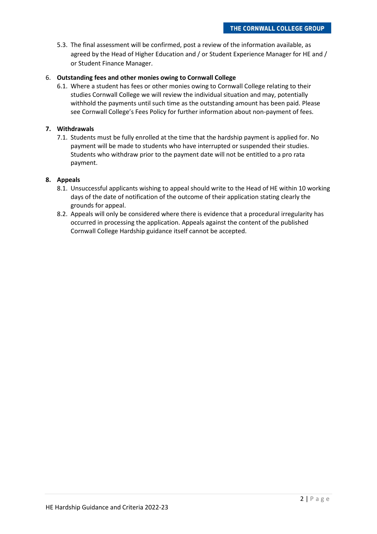5.3. The final assessment will be confirmed, post a review of the information available, as agreed by the Head of Higher Education and / or Student Experience Manager for HE and / or Student Finance Manager.

# 6. **Outstanding fees and other monies owing to Cornwall College**

6.1. Where a student has fees or other monies owing to Cornwall College relating to their studies Cornwall College we will review the individual situation and may, potentially withhold the payments until such time as the outstanding amount has been paid. Please see Cornwall College's Fees Policy for further information about non-payment of fees.

#### **7. Withdrawals**

7.1. Students must be fully enrolled at the time that the hardship payment is applied for. No payment will be made to students who have interrupted or suspended their studies. Students who withdraw prior to the payment date will not be entitled to a pro rata payment.

# **8. Appeals**

- 8.1. Unsuccessful applicants wishing to appeal should write to the Head of HE within 10 working days of the date of notification of the outcome of their application stating clearly the grounds for appeal.
- 8.2. Appeals will only be considered where there is evidence that a procedural irregularity has occurred in processing the application. Appeals against the content of the published Cornwall College Hardship guidance itself cannot be accepted.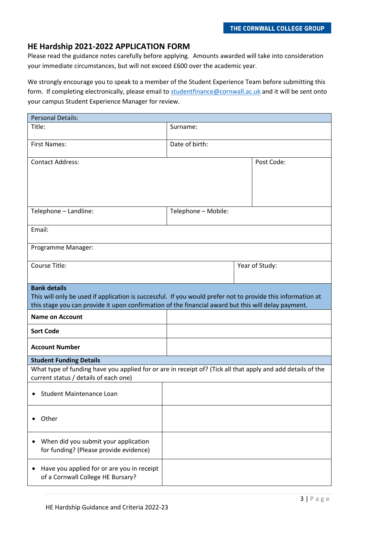# **HE Hardship 2021-2022 APPLICATION FORM**

Please read the guidance notes carefully before applying. Amounts awarded will take into consideration your immediate circumstances, but will not exceed £600 over the academic year.

We strongly encourage you to speak to a member of the Student Experience Team before submitting this form. If completing electronically, please email t[o studentfinance@cornwall.ac.uk](mailto:studentfinance@cornwall.ac.uk) and it will be sent onto your campus Student Experience Manager for review.

| <b>Personal Details:</b>                                                                                                                                                                                                                  |                     |                |
|-------------------------------------------------------------------------------------------------------------------------------------------------------------------------------------------------------------------------------------------|---------------------|----------------|
| Title:                                                                                                                                                                                                                                    | Surname:            |                |
| <b>First Names:</b>                                                                                                                                                                                                                       | Date of birth:      |                |
| <b>Contact Address:</b>                                                                                                                                                                                                                   |                     | Post Code:     |
| Telephone - Landline:                                                                                                                                                                                                                     | Telephone - Mobile: |                |
| Email:                                                                                                                                                                                                                                    |                     |                |
| Programme Manager:                                                                                                                                                                                                                        |                     |                |
| Course Title:                                                                                                                                                                                                                             |                     | Year of Study: |
| <b>Bank details</b><br>This will only be used if application is successful. If you would prefer not to provide this information at<br>this stage you can provide it upon confirmation of the financial award but this will delay payment. |                     |                |
| <b>Name on Account</b>                                                                                                                                                                                                                    |                     |                |
| <b>Sort Code</b>                                                                                                                                                                                                                          |                     |                |
| <b>Account Number</b>                                                                                                                                                                                                                     |                     |                |
| <b>Student Funding Details</b>                                                                                                                                                                                                            |                     |                |
| What type of funding have you applied for or are in receipt of? (Tick all that apply and add details of the<br>current status / details of each one)                                                                                      |                     |                |
| Student Maintenance Loan<br>٠                                                                                                                                                                                                             |                     |                |
| Other                                                                                                                                                                                                                                     |                     |                |
| When did you submit your application<br>for funding? (Please provide evidence)                                                                                                                                                            |                     |                |
| Have you applied for or are you in receipt<br>of a Cornwall College HE Bursary?                                                                                                                                                           |                     |                |